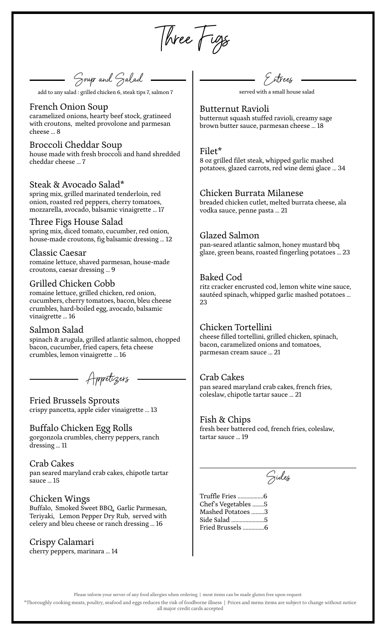Three Figs

Soup an d Salad

add to any salad : grilled chicken 6, steak tips 7, salmon 7 served with a small house salad

### French Onion Soup

caramelized onions, hearty beef stock, gratineed with croutons, melted provolone and parmesan cheese … 8

# Broccoli Cheddar Soup

house made with fresh broccoli and hand shredded cheddar cheese … 7

### Steak & Avocado Salad\*

spring mix, grilled marinated tenderloin, red onion, roasted red peppers, cherry tomatoes, mozzarella, avocado, balsamic vinaigrette … 17

#### Three Figs House Salad

spring mix, diced tomato, cucumber, red onion, house-made croutons, fig balsamic dressing … 12

### Classic Caesar

romaine lettuce, shaved parmesan, house-made croutons, caesar dressing … 9

# Grilled Chicken Cobb

romaine lettuce, grilled chicken, red onion, cucumbers, cherry tomatoes, bacon, bleu cheese crumbles, hard-boiled egg, avocado, balsamic vinaigrette … 16

### Salmon Salad

spinach & arugula, grilled atlantic salmon, chopped bacon, cucumber, fried capers, feta cheese crumbles, lemon vinaigrette … 16

Appetizers

# Fried Brussels Sprouts crispy pancetta, apple cider vinaigrette … 13

### Buffalo Chicken Egg Rolls

gorgonzola crumbles, cherry peppers, ranch dressing … 11

### Crab Cakes

pan seared maryland crab cakes, chipotle tartar sauce … 15

### Chicken Wings

Buffalo, Smoked Sweet BBQ, Garlic Parmesan, Teriyaki, Lemon Pepper Dry Rub, served with celery and bleu cheese or ranch dressing … 16

# Crispy Calamari

cherry peppers, marinara … 14

Entrees

Butternut Ravioli butternut squash stuffed ravioli, creamy sage brown butter sauce, parmesan cheese … 18

#### Filet\*

8 oz grilled filet steak, whipped garlic mashed potatoes, glazed carrots, red wine demi glace … 34

### Chicken Burrata Milanese

breaded chicken cutlet, melted burrata cheese, ala vodka sauce, penne pasta … 21

### Glazed Salmon

pan-seared atlantic salmon, honey mustard bbq glaze, green beans, roasted fingerling potatoes … 23

### Baked Cod

ritz cracker encrusted cod, lemon white wine sauce, sautéed spinach, whipped garlic mashed potatoes … 23

# Chicken Tortellini

cheese filled tortellini, grilled chicken, spinach, bacon, caramelized onions and tomatoes, parmesan cream sauce … 21

### Crab Cakes

pan seared maryland crab cakes, french fries, coleslaw, chipotle tartar sauce … 21

### Fish & Chips

fresh beer battered cod, french fries, coleslaw, tartar sauce … 19

Sides

Truffle Fries ..................6 Chef's Vegetables ........5 Mashed Potatoes .........3 Side Salad .......................5 Fried Brussels ...............6

Please inform your server of any food allergies when ordering | most items can be made gluten free upon request

\*Thoroughly cooking meats, poultry, seafood and eggs reduces the risk of foodborne illness | Prices and menu items are subject to change without notice all major credit cards accepted